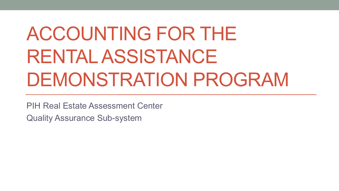# ACCOUNTING FOR THE RENTAL ASSISTANCE DEMONSTRATION PROGRAM

PIH Real Estate Assessment Center

Quality Assurance Sub-system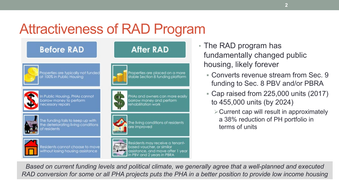## Attractiveness of RAD Program



- The RAD program has fundamentally changed public housing, likely forever
	- Converts revenue stream from Sec. 9 funding to Sec. 8 PBV and/or PBRA
	- Cap raised from 225,000 units (2017) to 455,000 units (by 2024)
		- $\triangleright$  Current cap will result in approximately a 38% reduction of PH portfolio in terms of units

*Based on current funding levels and political climate, we generally agree that a well-planned and executed RAD conversion for some or all PHA projects puts the PHA in a better position to provide low income housing*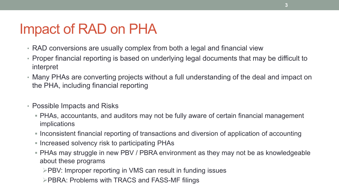### Impact of RAD on PHA

- RAD conversions are usually complex from both a legal and financial view
- Proper financial reporting is based on underlying legal documents that may be difficult to interpret
- Many PHAs are converting projects without a full understanding of the deal and impact on the PHA, including financial reporting
- Possible Impacts and Risks
	- PHAs, accountants, and auditors may not be fully aware of certain financial management implications
	- Inconsistent financial reporting of transactions and diversion of application of accounting
	- **Increased solvency risk to participating PHAs**
	- PHAs may struggle in new PBV / PBRA environment as they may not be as knowledgeable about these programs
		- **PBV: Improper reporting in VMS can result in funding issues**
		- **PBRA: Problems with TRACS and FASS-MF filings**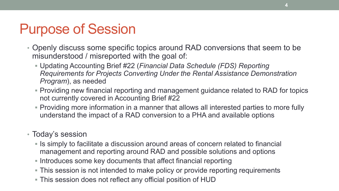### Purpose of Session

- Openly discuss some specific topics around RAD conversions that seem to be misunderstood / misreported with the goal of:
	- Updating Accounting Brief #22 (*Financial Data Schedule (FDS) Reporting Requirements for Projects Converting Under the Rental Assistance Demonstration Program*), as needed
	- Providing new financial reporting and management guidance related to RAD for topics not currently covered in Accounting Brief #22
	- Providing more information in a manner that allows all interested parties to more fully understand the impact of a RAD conversion to a PHA and available options

#### • Today's session

- Is simply to facilitate a discussion around areas of concern related to financial management and reporting around RAD and possible solutions and options
- **Introduces some key documents that affect financial reporting**
- This session is not intended to make policy or provide reporting requirements
- This session does not reflect any official position of HUD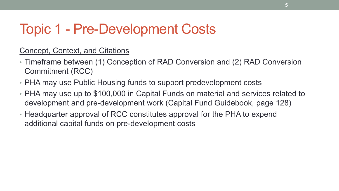### Topic 1 - Pre-Development Costs

### Concept, Context, and Citations

- Timeframe between (1) Conception of RAD Conversion and (2) RAD Conversion Commitment (RCC)
- PHA may use Public Housing funds to support predevelopment costs
- PHA may use up to \$100,000 in Capital Funds on material and services related to development and pre-development work (Capital Fund Guidebook, page 128)
- Headquarter approval of RCC constitutes approval for the PHA to expend additional capital funds on pre-development costs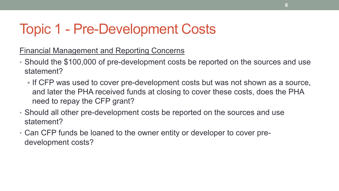### Topic 1 - Pre-Development Costs

Financial Management and Reporting Concerns

- Should the \$100,000 of pre-development costs be reported on the sources and use statement?
	- If CFP was used to cover pre-development costs but was not shown as a source, and later the PHA received funds at closing to cover these costs, does the PHA need to repay the CFP grant?
- Should all other pre-development costs be reported on the sources and use statement?
- Can CFP funds be loaned to the owner entity or developer to cover predevelopment costs?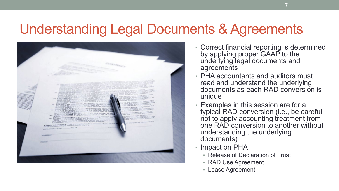### Understanding Legal Documents & Agreements



- Correct financial reporting is determined by applying proper GAAP to the underlying legal documents and agreements
- PHA accountants and auditors must read and understand the underlying documents as each RAD conversion is unique
- Examples in this session are for a typical RAD conversion (i.e., be careful not to apply accounting treatment from one RAD conversion to another without understanding the underlying documents)
- Impact on PHA
	- Release of Declaration of Trust
	- RAD Use Agreement
	- Lease Agreement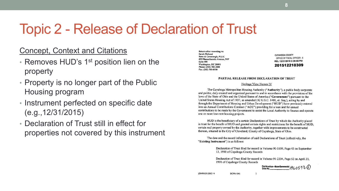### Topic 2 - Release of Declaration of Trust

#### Concept, Context and Citations

- Removes HUD's 1<sup>st</sup> position lien on the property
- Property is no longer part of the Public Housing program
- Instrument perfected on specific date (e.g.,12/31/2015)
- Declaration of Trust still in effect for properties not covered by this instrument

Return after recording to: Sarah Molseed Reno & Cavanaugh, PLLC 455 Massachusetts Avenue, NW Suite 400 Washington, DC 20001 Phone: (202) 783-2800 Fax: (202) 783-0550

**CUYAHOGA COUNTY** OFFICE OF FISCAL OFFICER - 6 REL 12/21/2015 3:29:55 PM 201512210309

#### **PARTIAL RELEASE FROM DECLARATION OF TRUST**

#### Heritage View Homes IV

The Cuyahoga Metropolitan Housing Authority ("Authority"), a public body corporate and politic, duly created and organized pursuant to and in accordance with the provisions of the laws of the State of Ohio and the United States of America ("Government") pursuant to the United States Housing Act of 1937, as amended (42 U.S.C. 1401, et. Seq.), acting by and through the Department of Housing and Urban Development ("HUD") have previously entered into an Annual Contributions Contract ("ACC") providing for a loan and for annual contributions to be made by the Government to assist the Local Authority to finance and operate one or more low-rent housing projects.

HUD is the beneficiary of a certain Declarations of Trust by which the Authority placed in trust for the benefit of HUD and granted certain rights and restrictions for the benefit of HUD, certain real property owned by the Authority, together with improvements to be constructed thereon, situated in the City of Cleveland, County of Cuyahoga, State of Ohio.

The date and the record information of said Declarations of Trust (collectively, the "Existing Instrument") is as follows:

> Declaration of Trust filed for record in Volume 90-5559, Page 43 on September 13, 1990 of Cuyahoga County Records

Declaration of Trust filed for record in Volume 91-2204, Page 52 on April 23, 1991 of Cuyahoga County Records

First American - Akron Commercial  $i$ 9 ( $i$   $0$   $5$   $9$   $3$   $\left(\right)$ 

{D0496839.DOC / 4

DC996-104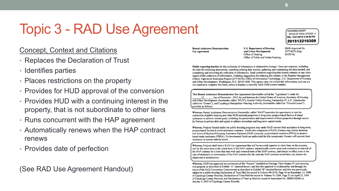#### Concept, Context and Citations

- Replaces the Declaration of Trust
- Identifies parties
- Places restrictions on the property
- Provides for HUD approval of the conversion
- Provides HUD with a continuing interest in the property, that is not subordinate to other liens
- Runs concurrent with the HAP agreement
- Automatically renews when the HAP contract renews
- Provides date of perfection

(See RAD Use Agreement Handout)

**Rental Assistance Demonstration Use Agreement** 

**U.S. Department of Housing** and Urban Development Office of Housing Office of Public and Indian Housing OMB Approval No. 2577-0276 (Exp.  $02/29/16$ 

CUYAHOGA COUNTY OFFICE OF FISCAL OFFICER - 6 REL 12/21/2015 3:29:55 PM 201512210309

Public reporting burden for this collection of information is estimated to average 1 hour per response, including the time for reviewing instructions, searching existing data sources, gathering and maintaining the data needed, and completing and reviewing the collection of information. Send comments regarding this burden estimate or any other aspect of this collection of information, including suggestions for reducing this burden, to the Reports Management Officer, Paperwork Reduction Project (2577-0276), Office of Information Technology, U.S. Department of Housing and Urban Development, Washington, D.C. 20410-3600. This agency may not collect this information, and you are not required to complete this form, unless it displays a currently valid OMB control number.

This Rental Assistance Demonstration Use Agreement (hereinafter called the "Agreement") made the day of December, 2015, by and between the United States of America, Secretary of Housing and Urban Development (hereinafter called "HUD"), Garden Valley Housing Partnership IV, L.P., (hereinafter called the "Owner"), and Cuvahoga Metropolitan Housing Authority (hereinafter called the "Ground Lessor") provides as follows:

Whereas, Rental Assistance Demonstration (hereinafter called "RAD") provides the opportunity to test the conversion of public housing and other HUD-assisted properties to long-term, project-based Section 8 rental assistance to achieve certain goals, including the preservation and improvement of these properties through access by Owners to private debt and equity to address immediate and long-term capital needs.

Whereas, Projects funded under the public housing programs may under RAD convert their assistance to long-term, project-based Section 8 rental assistance contracts. Under this component of RAD, Owners may choose between two forms of Section 8 Housing Assistance Payment (HAP) contracts: project-based vouchers (PBVs) or projectbased rental assistance (PBRA). No incremental funds are authorized for this component. Owners will convert their assistance at current subsidy levels.

Whereas, Projects shall have a RAD Use Agreement that will be recorded superior to other liens on the property, run for the same term as the initial term of the HAP contract, automatically renew upon each extension or renewal of the HAP contract for a term that runs with each renewal term of the HAP contract, and remain in effect even in the case of abatement or termination of the HAP contract (for the term the HAP contract would have run, absent the abatement or termination).

Whereas, HUD has approved the conversion of the "Project" identified as Heritage View Homes IV and covering real property as described in Exhibit "A" attached hereto; and that this approval is evidenced by and through the terms of the RAD Conversion Commitment as described in Exhibit "B" attached hereto; and that was previously subject to a public housing Declaration of Trust filed for record in Volume 90-5559, Page 43 on September 13, 1990 of Cuyahoga County Records; Declaration of Trust filed for record in Volume 91-2204, Page 52 on April 23, 1991 of Cuyahoga County Records; and Declaration of Trust as filed for record in Instrument No. 20090150340 on January 5, 2009 of Cuyahoga County Records.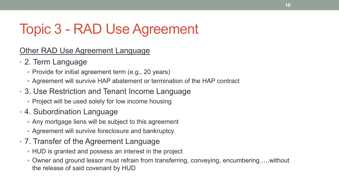### Other RAD Use Agreement Language

- 2. Term Language
	- **Provide for initial agreement term (e.g., 20 years)**
	- Agreement will survive HAP abatement or termination of the HAP contract
- 3. Use Restriction and Tenant Income Language
	- **Project will be used solely for low income housing**
- 4. Subordination Language
	- Any mortgage liens will be subject to this agreement
	- Agreement will survive foreclosure and bankruptcy
- 7. Transfer of the Agreement Language
	- HUD is granted and possess an interest in the project
	- Owner and ground lessor must refrain from transferring, conveying, encumbering……without the release of said covenant by HUD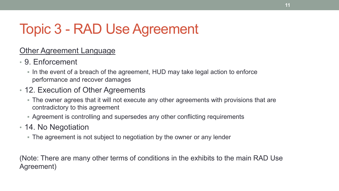### Other Agreement Language

- 9. Enforcement
	- In the event of a breach of the agreement, HUD may take legal action to enforce performance and recover damages
- 12. Execution of Other Agreements
	- The owner agrees that it will not execute any other agreements with provisions that are contradictory to this agreement
	- Agreement is controlling and supersedes any other conflicting requirements
- 14. No Negotiation
	- The agreement is not subject to negotiation by the owner or any lender

(Note: There are many other terms of conditions in the exhibits to the main RAD Use Agreement)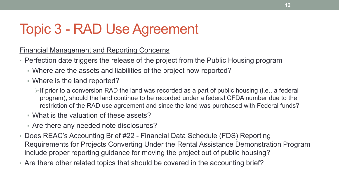Financial Management and Reporting Concerns

- Perfection date triggers the release of the project from the Public Housing program
	- Where are the assets and liabilities of the project now reported?
	- Where is the land reported?
		- $\triangleright$  If prior to a conversion RAD the land was recorded as a part of public housing (i.e., a federal program), should the land continue to be recorded under a federal CFDA number due to the restriction of the RAD use agreement and since the land was purchased with Federal funds?
	- What is the valuation of these assets?
	- Are there any needed note disclosures?
- Does REAC's Accounting Brief #22 Financial Data Schedule (FDS) Reporting Requirements for Projects Converting Under the Rental Assistance Demonstration Program include proper reporting guidance for moving the project out of public housing?
- Are there other related topics that should be covered in the accounting brief?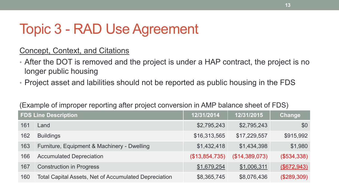### Concept, Context, and Citations

- After the DOT is removed and the project is under a HAP contract, the project is no longer public housing
- Project asset and labilities should not be reported as public housing in the FDS

| <b>FDS Line Description</b> |                                                              | 12/31/2014     | 12/31/2015     | Change      |
|-----------------------------|--------------------------------------------------------------|----------------|----------------|-------------|
| 161                         | Land                                                         | \$2,795,243    | \$2,795,243    | \$0         |
| 162                         | <b>Buildings</b>                                             | \$16,313,565   | \$17,229,557   | \$915,992   |
| 163                         | Furniture, Equipment & Machinery - Dwelling                  | \$1,432,418    | \$1,434,398    | \$1,980     |
| 166                         | <b>Accumulated Depreciation</b>                              | (\$13,854,735) | (\$14,389,073) | (\$534,338) |
| 167                         | <b>Construction in Progress</b>                              | \$1,679,254    | \$1,006,311    | (\$672,943) |
| 160                         | <b>Total Capital Assets, Net of Accumulated Depreciation</b> | \$8,365,745    | \$8,076,436    | (\$289,309) |

#### (Example of improper reporting after project conversion in AMP balance sheet of FDS)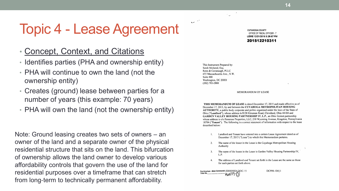### Topic 4 - Lease Agreement

- Concept, Context, and Citations
- Identifies parties (PHA and ownership entity)
- PHA will continue to own the land (not the ownership entity)
- Creates (ground) lease between parties for a number of years (this example: 70 years)
- PHA will own the land (not the ownership entity)

Note: Ground leasing creates two sets of owners – an owner of the land and a separate owner of the physical residential structure that sits on the land. This bifurcation of ownership allows the land owner to develop various affordability controls that govern the use of the land for residential purposes over a timeframe that can stretch from long‐term to technically permanent affordability.

**CUYAHOGA COUNTY** OFFICE OF FISCAL OFFICER - 7 LEME 12/21/2015 3:29:57 PM

201512210311

This Instrument Prepared by: Sarah Molseed, Esq. Reno & Cavanaugh, PLLC 455 Massachusetts Ave., N.W. Suite 400 Washington, DC 20001  $(202)$  783-2800

 $\sum_{i=1}^{n} \frac{1}{i} \sum_{i=1}^{n} \frac{1}{i} \sum_{i=1}^{n} \frac{1}{i} \sum_{i=1}^{n} \frac{1}{i} \sum_{i=1}^{n} \frac{1}{i} \sum_{i=1}^{n} \frac{1}{i} \sum_{i=1}^{n} \frac{1}{i} \sum_{i=1}^{n} \frac{1}{i} \sum_{i=1}^{n} \frac{1}{i} \sum_{i=1}^{n} \frac{1}{i} \sum_{i=1}^{n} \frac{1}{i} \sum_{i=1}^{n} \frac{1}{i} \sum_{i=1}^{n} \frac{1}{i$ 

MEMORANDUM OF LEASE

THIS MEMORANDUM OF LEASE is dated December 17, 2015 and made effective as of December 17, 2015, by and between the CUYAHOGA METROPOLITAN HOUSING **AUTHORITY**, a public body corporate and politic organized under the laws of the State of Ohio ("Landlord"), whose address is 8120 Kinsman Road, Cleveland, Ohio 44104 and GARDEN VALLEY HOUSING PARTNERSHIP IV, L.P., an Ohio limited partnership whose address is c/o Pennrose Properties, LLC, 230 Wyoming Avenue, Kingston, Pennsylvania 18704 ("Tenant"). The following is a correct statement of information with respect to the lease described below:

- Landlord and Tenant have entered into a certain Lease Agreement dated as of December 17, 2015 ("Lease") to which this Memorandum pertains.
- $2.$ The name of the lessor in the Lease is the Cuyahoga Metropolitan Housing Authority
- $3<sub>1</sub>$ The name of the lessee in the Lease is Garden Valley Housing Partnership IV,  $L.P.$
- The address of Landlord and Tenant set forth in the Lease are the same as those 4. for such parties set forth above.

First American - Akron Commercial {D0505924,DOC / 5 1940573-13

DC996-104}1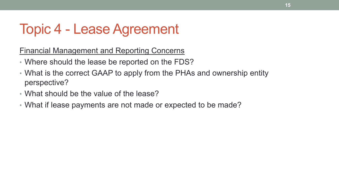### Topic 4 - Lease Agreement

Financial Management and Reporting Concerns

- Where should the lease be reported on the FDS?
- What is the correct GAAP to apply from the PHAs and ownership entity perspective?
- What should be the value of the lease?
- What if lease payments are not made or expected to be made?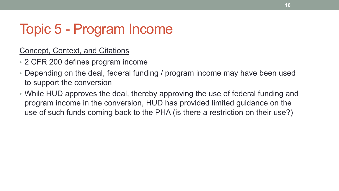Concept, Context, and Citations

- 2 CFR 200 defines program income
- Depending on the deal, federal funding / program income may have been used to support the conversion
- While HUD approves the deal, thereby approving the use of federal funding and program income in the conversion, HUD has provided limited guidance on the use of such funds coming back to the PHA (is there a restriction on their use?)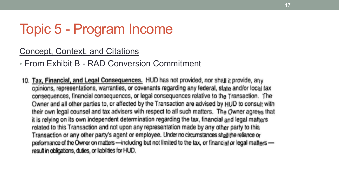Concept, Context, and Citations

• From Exhibit B - RAD Conversion Commitment

10. Tax, Financial, and Legal Consequences. HUD has not provided, nor shall it provide, any opinions, representations, warranties, or covenants regarding any federal, state and/or local tax consequences, financial consequences, or legal consequences relative to the Transaction. The Owner and all other parties to, or affected by the Transaction are advised by HUD to consult with their own legal counsel and tax advisers with respect to all such matters. The Owner agrees that it is relying on its own independent determination regarding the tax, financial and legal matters related to this Transaction and not upon any representation made by any other party to this Transaction or any other party's agent or employee. Under no circumstances shall the reliance or performance of the Owner on matters --- including but not limited to the tax, or financial or legal matters result in obligations, duties, or liabilities for HUD.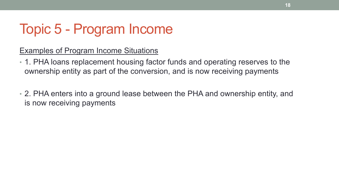### Examples of Program Income Situations

- 1. PHA loans replacement housing factor funds and operating reserves to the ownership entity as part of the conversion, and is now receiving payments
- 2. PHA enters into a ground lease between the PHA and ownership entity, and is now receiving payments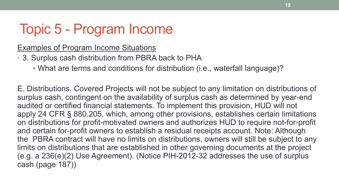Examples of Program Income Situations

- 3. Surplus cash distribution from PBRA back to PHA
	- What are terms and conditions for distribution (i.e., waterfall language)?

E. Distributions. Covered Projects will not be subject to any limitation on distributions of surplus cash, contingent on the availability of surplus cash as determined by year-end audited or certified financial statements. To implement this provision, HUD will not apply 24 CFR § 880.205, which, among other provisions, establishes certain limitations on distributions for profit-motivated owners and authorizes HUD to require not-for-profit and certain for-profit owners to establish a residual receipts account. Note: Although the PBRA contract will have no limits on distributions, owners will still be subject to any limits on distributions that are established in other governing documents at the project (e.g. a 236(e)(2) Use Agreement). (Notice PIH-2012-32 addresses the use of surplus cash (page 187))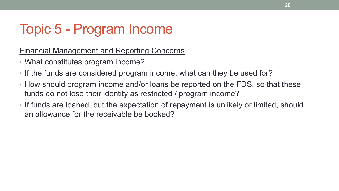Financial Management and Reporting Concerns

- What constitutes program income?
- If the funds are considered program income, what can they be used for?
- How should program income and/or loans be reported on the FDS, so that these funds do not lose their identity as restricted / program income?
- If funds are loaned, but the expectation of repayment is unlikely or limited, should an allowance for the receivable be booked?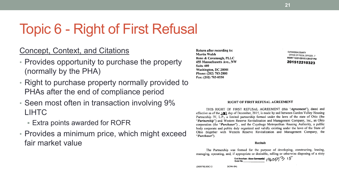## Topic 6 - Right of First Refusal

#### Concept, Context, and Citations

- Provides opportunity to purchase the property (normally by the PHA)
- Right to purchase property normally provided to PHAs after the end of compliance period
- Seen most often in transaction involving 9% LIHTC
	- Extra points awarded for ROFR
- Provides a minimum price, which might exceed fair market value

Return after recording to: **Martin Walsh** Reno & Cavanaugh, PLLC 455 Massachusetts Ave., NW Suite 400 Washington, DC 20001 Phone: (202) 783-2800 Fax: (202) 783-0550

**CUYAHOGA COUNTY** OFFICE OF FISCAL OFFICER - 7 MORT 12/21/2015 3:29 201512210323

#### **RIGHT OF FIRST REFUSAL AGREEMENT**

THIS RIGHT OF FIRST REFUSAL AGREEMENT (this "Agreement"), dated and effective as of the 10 day of December, 2015, is made by and between Garden Valley Housing Partnership IV, L.P., a limited partnership formed under the laws of the state of Ohio (the "Partnership") and Western Reserve Revitalization and Management Company, Inc., an Ohio corporation (the "Purchaser"), and the Cuyahoga Metropolitan Housing Authority, a public body corporate and politic duly organized and validly existing under the laws of the State of Ohio (together with Western Reserve Revitalization and Management Company, the "Purchaser").

#### Recitals

The Partnership was formed for the purpose of developing, constructing, leasing, managing, operating, and, if appropriate or desirable, selling or otherwise disposing of a sixty

First American - Akron Commercial  $_1q_6057$  3 15

{D0507782.DOC / 2 DC996-104)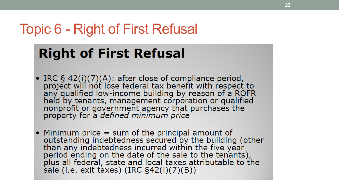### Topic 6 - Right of First Refusal

### **Right of First Refusal**

- IRC  $\S$  42(i)(7)(A): after close of compliance period, project will not lose federal tax benefit with respect to any qualified low-income building by reason of a ROFR<br>held by tenants, management corporation or qualified<br>nonprofit or government agency that purchases the<br>property for a *defined minimum price*
- Minimum price  $=$  sum of the principal amount of outstanding indebtedness secured by the building (other than any indebtedness incurred within the five year period ending on the date of the sale to the tenants), plus all federal, state and local taxes attributable to the<br>sale (i.e. exit taxes) (IRC §42(i)(7)(B))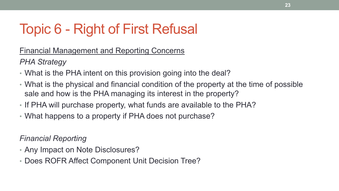## Topic 6 - Right of First Refusal

Financial Management and Reporting Concerns

*PHA Strategy*

- What is the PHA intent on this provision going into the deal?
- What is the physical and financial condition of the property at the time of possible sale and how is the PHA managing its interest in the property?
- If PHA will purchase property, what funds are available to the PHA?
- What happens to a property if PHA does not purchase?

*Financial Reporting*

- Any Impact on Note Disclosures?
- Does ROFR Affect Component Unit Decision Tree?